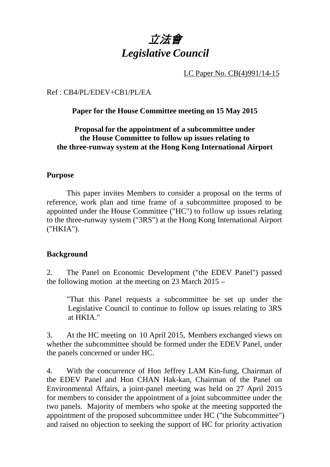

LC Paper No. CB(4)991/14-15

Ref : CB4/PL/EDEV+CB1/PL/EA

#### **Paper for the House Committee meeting on 15 May 2015**

### **Proposal for the appointment of a subcommittee under the House Committee to follow up issues relating to the three-runway system at the Hong Kong International Airport**

#### **Purpose**

This paper invites Members to consider a proposal on the terms of reference, work plan and time frame of a subcommittee proposed to be appointed under the House Committee ("HC") to follow up issues relating to the three-runway system ("3RS") at the Hong Kong International Airport ("HKIA").

#### **Background**

2. The Panel on Economic Development ("the EDEV Panel") passed the following motion at the meeting on 23 March 2015 –

"That this Panel requests a subcommittee be set up under the Legislative Council to continue to follow up issues relating to 3RS at HKIA."

3. At the HC meeting on 10 April 2015, Members exchanged views on whether the subcommittee should be formed under the EDEV Panel, under the panels concerned or under HC.

4. With the concurrence of Hon Jeffrey LAM Kin-fung, Chairman of the EDEV Panel and Hon CHAN Hak-kan, Chairman of the Panel on Environmental Affairs, a joint-panel meeting was held on 27 April 2015 for members to consider the appointment of a joint subcommittee under the two panels. Majority of members who spoke at the meeting supported the appointment of the proposed subcommittee under HC ("the Subcommittee") and raised no objection to seeking the support of HC for priority activation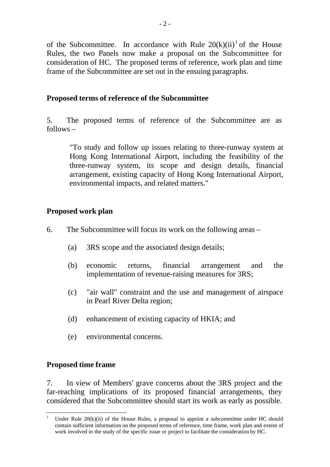of the Subcommittee. In accordance with Rule  $20(k)(ii)^{1}$  of the House Rules, the two Panels now make a proposal on the Subcommittee for consideration of HC. The proposed terms of reference, work plan and time frame of the Subcommittee are set out in the ensuing paragraphs.

# **Proposed terms of reference of the Subcommittee**

5. The proposed terms of reference of the Subcommittee are as follows –

"To study and follow up issues relating to three-runway system at Hong Kong International Airport, including the feasibility of the three-runway system, its scope and design details, financial arrangement, existing capacity of Hong Kong International Airport, environmental impacts, and related matters."

# **Proposed work plan**

- 6. The Subcommittee will focus its work on the following areas
	- (a) 3RS scope and the associated design details;
	- (b) economic returns, financial arrangement and the implementation of revenue-raising measures for 3RS;
	- (c) "air wall" constraint and the use and management of airspace in Pearl River Delta region;
	- (d) enhancement of existing capacity of HKIA; and
	- (e) environmental concerns.

### **Proposed time frame**

7. In view of Members' grave concerns about the 3RS project and the far-reaching implications of its proposed financial arrangements, they considered that the Subcommittee should start its work as early as possible.

 $\overline{a}$ 1 Under Rule  $20(k)(ii)$  of the House Rules, a proposal to appoint a subcommittee under HC should contain sufficient information on the proposed terms of reference, time frame, work plan and extent of work involved in the study of the specific issue or project to facilitate the consideration by HC.